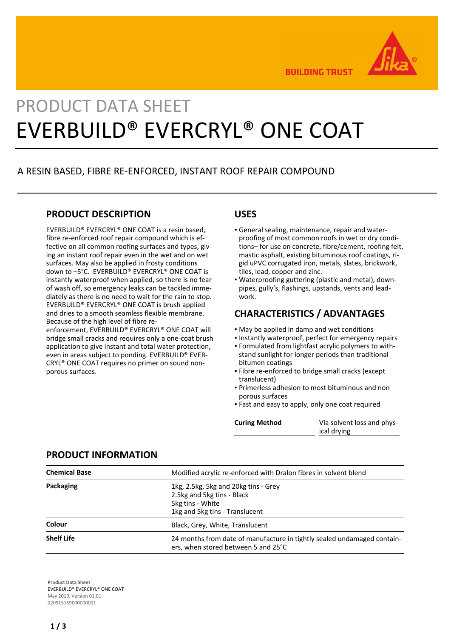

**BUILDING TRUST** 

# PRODUCT DATA SHEET EVERBUILD® EVERCRYL® ONE COAT

## A RESIN BASED, FIBRE RE-ENFORCED, INSTANT ROOF REPAIR COMPOUND

## **PRODUCT DESCRIPTION**

EVERBUILD® EVERCRYL® ONE COAT is a resin based, fibre re-enforced roof repair compound which is effective on all common roofing surfaces and types, giving an instant roof repair even in the wet and on wet surfaces. May also be applied in frosty conditions down to –5°C. EVERBUILD® EVERCRYL® ONE COAT is instantly waterproof when applied, so there is no fear of wash off, so emergency leaks can be tackled immediately as there is no need to wait for the rain to stop. EVERBUILD® EVERCRYL® ONE COAT is brush applied and dries to a smooth seamless flexible membrane. Because of the high level of fibre re-

enforcement, EVERBUILD® EVERCRYL® ONE COAT will bridge small cracks and requires only a one-coat brush application to give instant and total water protection, even in areas subject to ponding. EVERBUILD® EVER-CRYL® ONE COAT requires no primer on sound nonporous surfaces.

## **USES**

- General sealing, maintenance, repair and water-▪ proofing of most common roofs in wet or dry conditions– for use on concrete, fibre/cement, roofing felt, mastic asphalt, existing bituminous roof coatings, rigid uPVC corrugated iron, metals, slates, brickwork, tiles, lead, copper and zinc.
- Waterproofing guttering (plastic and metal), down-▪ pipes, gully's, flashings, upstands, vents and leadwork.

## **CHARACTERISTICS / ADVANTAGES**

- May be applied in damp and wet conditions
- Instantly waterproof, perfect for emergency repairs
- Formulated from lightfast acrylic polymers to with-▪ stand sunlight for longer periods than traditional bitumen coatings
- Fibre re-enforced to bridge small cracks (except translucent)
- Primerless adhesion to most bituminous and non porous surfaces
- **.** Fast and easy to apply, only one coat required

**Curing Method** Via solvent loss and physical drying

## **PRODUCT INFORMATION**

| <b>Chemical Base</b> | Modified acrylic re-enforced with Dralon fibres in solvent blend                                                         |
|----------------------|--------------------------------------------------------------------------------------------------------------------------|
| Packaging            | 1kg, 2.5kg, 5kg and 20kg tins - Grey<br>2.5kg and 5kg tins - Black<br>5kg tins - White<br>1kg and 5kg tins - Translucent |
| Colour               | Black, Grey, White, Translucent                                                                                          |
| <b>Shelf Life</b>    | 24 months from date of manufacture in tightly sealed undamaged contain-<br>ers, when stored between 5 and 25°C           |

**Product Data Sheet** EVERBUILD® EVERCRYL® ONE COAT May 2019, Version 01.01 020915159000000001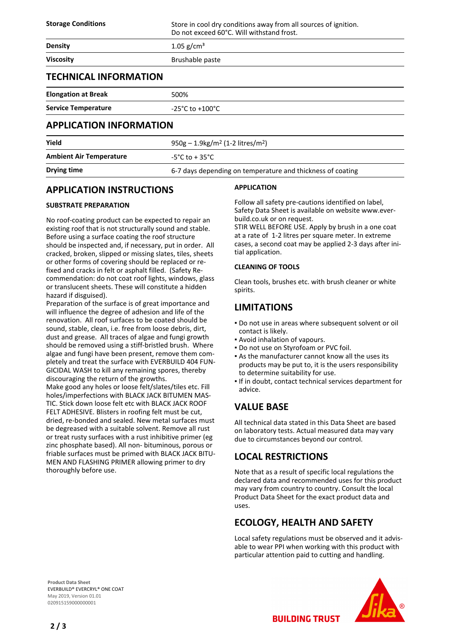**Storage Conditions** Store in cool dry conditions away from all sources of ignition. Do not exceed 60°C. Will withstand frost.

| <b>Density</b>                 | 1.05 $g/cm^{3}$                     |  |
|--------------------------------|-------------------------------------|--|
| <b>Viscosity</b>               | Brushable paste                     |  |
| <b>TECHNICAL INFORMATION</b>   |                                     |  |
| <b>Elongation at Break</b>     | 500%                                |  |
| <b>Service Temperature</b>     | $-25^{\circ}$ C to $+100^{\circ}$ C |  |
| <b>APPLICATION INFORMATION</b> |                                     |  |

| Yield                          | $950g - 1.9kg/m2$ (1-2 litres/m <sup>2</sup> )             |
|--------------------------------|------------------------------------------------------------|
| <b>Ambient Air Temperature</b> | -5°C to + 35°C                                             |
| Drying time                    | 6-7 days depending on temperature and thickness of coating |

## **APPLICATION INSTRUCTIONS**

### **SUBSTRATE PREPARATION**

No roof-coating product can be expected to repair an existing roof that is not structurally sound and stable. Before using a surface coating the roof structure should be inspected and, if necessary, put in order. All cracked, broken, slipped or missing slates, tiles, sheets or other forms of covering should be replaced or refixed and cracks in felt or asphalt filled. (Safety Recommendation: do not coat roof lights, windows, glass or translucent sheets. These will constitute a hidden hazard if disguised).

Preparation of the surface is of great importance and will influence the degree of adhesion and life of the renovation. All roof surfaces to be coated should be sound, stable, clean, i.e. free from loose debris, dirt, dust and grease. All traces of algae and fungi growth should be removed using a stiff-bristled brush. Where algae and fungi have been present, remove them completely and treat the surface with EVERBUILD 404 FUN-GICIDAL WASH to kill any remaining spores, thereby discouraging the return of the growths.

Make good any holes or loose felt/slates/tiles etc. Fill holes/imperfections with BLACK JACK BITUMEN MAS-TIC. Stick down loose felt etc with BLACK JACK ROOF FELT ADHESIVE. Blisters in roofing felt must be cut, dried, re-bonded and sealed. New metal surfaces must be degreased with a suitable solvent. Remove all rust or treat rusty surfaces with a rust inhibitive primer (eg zinc phosphate based). All non- bituminous, porous or friable surfaces must be primed with BLACK JACK BITU-MEN AND FLASHING PRIMER allowing primer to dry thoroughly before use.

#### **APPLICATION**

Follow all safety pre-cautions identified on label, Safety Data Sheet is available on website www.everbuild.co.uk or on request.

STIR WELL BEFORE USE. Apply by brush in a one coat at a rate of 1-2 litres per square meter. In extreme cases, a second coat may be applied 2-3 days after initial application.

#### **CLEANING OF TOOLS**

Clean tools, brushes etc. with brush cleaner or white spirits.

## **LIMITATIONS**

- Do not use in areas where subsequent solvent or oil contact is likely.
- Avoid inhalation of vapours.
- Do not use on Styrofoam or PVC foil.
- As the manufacturer cannot know all the uses its products may be put to, it is the users responsibility to determine suitability for use.
- **.** If in doubt, contact technical services department for advice.

## **VALUE BASE**

All technical data stated in this Data Sheet are based on laboratory tests. Actual measured data may vary due to circumstances beyond our control.

## **LOCAL RESTRICTIONS**

Note that as a result of specific local regulations the declared data and recommended uses for this product may vary from country to country. Consult the local Product Data Sheet for the exact product data and uses.

## **ECOLOGY, HEALTH AND SAFETY**

**BUILDING TRUST** 

Local safety regulations must be observed and it advisable to wear PPI when working with this product with particular attention paid to cutting and handling.

**Product Data Sheet** EVERBUILD® EVERCRYL® ONE COAT May 2019, Version 01.01 020915159000000001